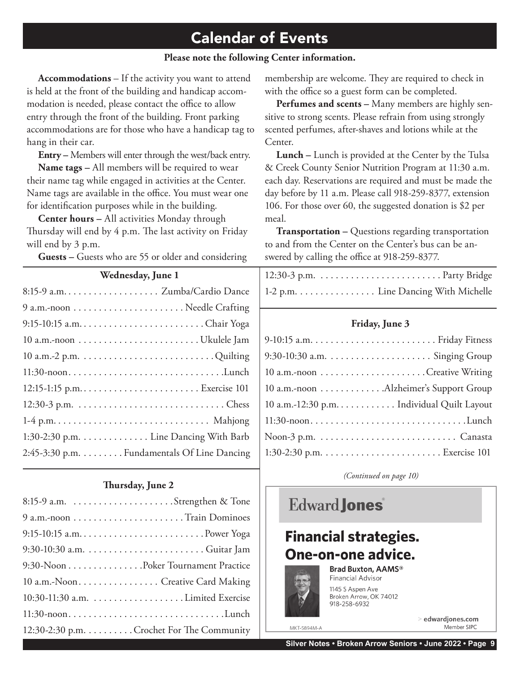#### **Please note the following Center information.**

**Accommodations** – If the activity you want to attend is held at the front of the building and handicap accommodation is needed, please contact the office to allow entry through the front of the building. Front parking accommodations are for those who have a handicap tag to hang in their car.

**Entry –** Members will enter through the west/back entry.

**Name tags –** All members will be required to wear their name tag while engaged in activities at the Center. Name tags are available in the office. You must wear one for identification purposes while in the building.

**Center hours –** All activities Monday through Thursday will end by 4 p.m. The last activity on Friday will end by 3 p.m.

**Guests –** Guests who are 55 or older and considering

#### **Thursday, June 2**

| 9:30-Noon Poker Tournament Practice       |
|-------------------------------------------|
| 10 a.m.-Noon Creative Card Making         |
|                                           |
| $11:30$ -noonLunch                        |
| 12:30-2:30 p.m. Crochet For The Community |

membership are welcome. They are required to check in with the office so a guest form can be completed.

**Perfumes and scents –** Many members are highly sensitive to strong scents. Please refrain from using strongly scented perfumes, after-shaves and lotions while at the Center.

**Lunch –** Lunch is provided at the Center by the Tulsa & Creek County Senior Nutrition Program at 11:30 a.m. each day. Reservations are required and must be made the day before by 11 a.m. Please call 918-259-8377, extension 106. For those over 60, the suggested donation is \$2 per meal.

**Transportation –** Questions regarding transportation to and from the Center on the Center's bus can be answered by calling the office at 918-259-8377.

| 1-2 p.m. Line Dancing With Michelle |
|-------------------------------------|

#### **Friday, June 3**

| 10 a.m.-noon Alzheimer's Support Group     |
|--------------------------------------------|
| 10 a.m.-12:30 p.m. Individual Quilt Layout |
| $11:30$ -noonLunch                         |
|                                            |
|                                            |

*(Continued on page 10)*

### **Edward Jones**

## **Financial strategies.** One-on-one advice.



Brad Buxton, AAMS® Financial Advisor

1145 S Aspen Ave Broken Arrow, OK 74012 918-258-6932

> > edwardjones.com Member SIPC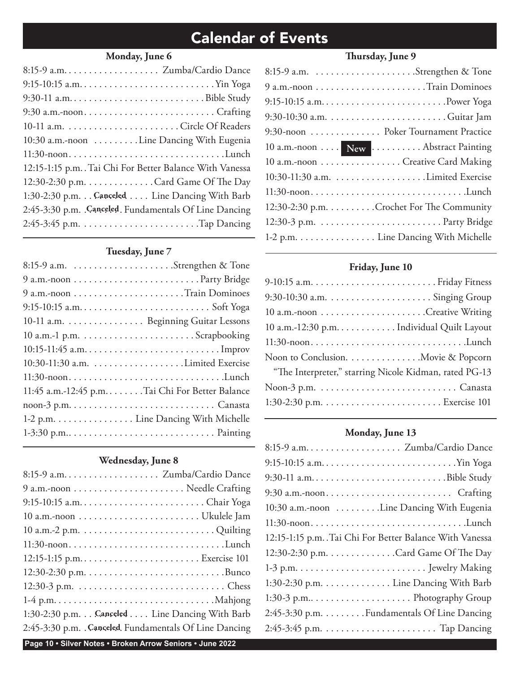#### **Monday, June 6**

| $9:30-11$ a.mBible Study                                |  |
|---------------------------------------------------------|--|
| $9:30$ a.m.-noonCrafting                                |  |
|                                                         |  |
| 10:30 a.m.-noon Line Dancing With Eugenia               |  |
|                                                         |  |
| 12:15-1:15 p.m. Tai Chi For Better Balance With Vanessa |  |
| 12:30-2:30 p.m. Card Game Of The Day                    |  |
| 1:30-2:30 p.m. Canceled Line Dancing With Barb          |  |
| 2:45-3:30 p.m. Canceled. Fundamentals Of Line Dancing   |  |
|                                                         |  |
|                                                         |  |

#### **Tuesday, June 7**

| 10-11 a.m. Beginning Guitar Lessons              |
|--------------------------------------------------|
|                                                  |
|                                                  |
|                                                  |
| 11:30-noonLunch                                  |
| 11:45 a.m.-12:45 p.m. Tai Chi For Better Balance |
|                                                  |
| 1-2 p.m. Line Dancing With Michelle              |
|                                                  |
|                                                  |

#### **Wednesday, June 8**

| 12:15-1:15 p.m Exercise 101                           |
|-------------------------------------------------------|
|                                                       |
|                                                       |
|                                                       |
| 1:30-2:30 p.m. Canceled Line Dancing With Barb        |
| 2:45-3:30 p.m. Canceled. Fundamentals Of Line Dancing |

#### **Page 10 • Silver Notes • Broken Arrow Seniors • June 2022**

### **Thursday, June 9**

| 9:30-noon  Poker Tournament Practice      |
|-------------------------------------------|
| 10 a.m.-noon  New  Abstract Painting      |
| 10 a.m.-noon Creative Card Making         |
|                                           |
| $11:30$ -noonLunch                        |
| 12:30-2:30 p.m. Crochet For The Community |
|                                           |
| 1-2 p.m. Line Dancing With Michelle       |

#### **Friday, June 10**

| 10 a.m.-12:30 p.m. Individual Quilt Layout             |
|--------------------------------------------------------|
| $11:30$ -noonLunch                                     |
| Noon to Conclusion. Movie & Popcorn                    |
| "The Interpreter," starring Nicole Kidman, rated PG-13 |
|                                                        |
|                                                        |

#### **Monday, June 13**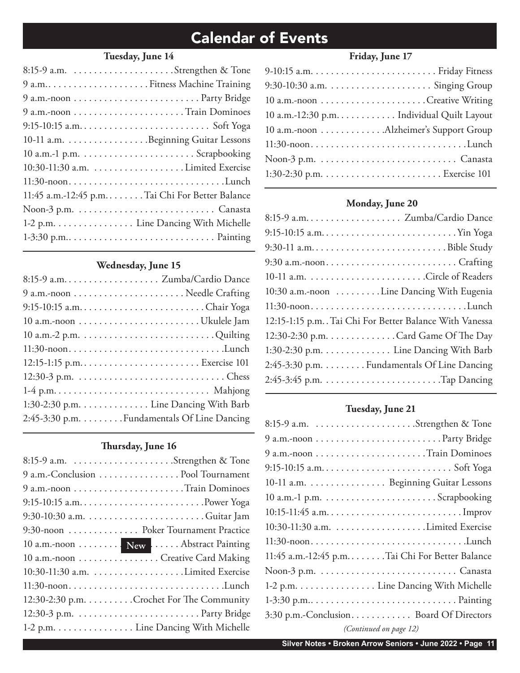#### **Tuesday, June 14**

| 9 a.mFitness Machine Training                    |
|--------------------------------------------------|
|                                                  |
|                                                  |
|                                                  |
|                                                  |
|                                                  |
|                                                  |
| 11:30-noonLunch                                  |
| 11:45 a.m.-12:45 p.m. Tai Chi For Better Balance |
|                                                  |
| 1-2 p.m. Line Dancing With Michelle              |
|                                                  |
|                                                  |

#### **Wednesday, June 15**

| $11:30$ -noonLunch                          |  |
|---------------------------------------------|--|
|                                             |  |
|                                             |  |
|                                             |  |
| 1:30-2:30 p.m. Line Dancing With Barb       |  |
| 2:45-3:30 p.m. Fundamentals Of Line Dancing |  |
|                                             |  |

#### **Thursday, June 16**

| 9 a.m.-Conclusion  Pool Tournament        |
|-------------------------------------------|
|                                           |
|                                           |
|                                           |
| 9:30-noon  Poker Tournament Practice      |
| 10 a.m.-noon  New  Abstract Painting      |
| 10 a.m.-noon Creative Card Making         |
|                                           |
|                                           |
| 12:30-2:30 p.m. Crochet For The Community |
|                                           |
| 1-2 p.m. Line Dancing With Michelle       |

### **Friday, June 17**

| 10 a.m.-12:30 p.m. Individual Quilt Layout |
|--------------------------------------------|
| 10 a.m.-noon Alzheimer's Support Group     |
| $11:30$ -noonLunch                         |
|                                            |
|                                            |

#### **Monday, June 20**

| 8:15-9 a.m Zumba/Cardio Dance                           |  |
|---------------------------------------------------------|--|
|                                                         |  |
| 9:30-11 a.mBible Study                                  |  |
|                                                         |  |
|                                                         |  |
| 10:30 a.m.-noon Line Dancing With Eugenia               |  |
| 11:30-noonLunch                                         |  |
| 12:15-1:15 p.m. Tai Chi For Better Balance With Vanessa |  |
| 12:30-2:30 p.m. Card Game Of The Day                    |  |
| 1:30-2:30 p.m. Line Dancing With Barb                   |  |
| 2:45-3:30 p.m. Fundamentals Of Line Dancing             |  |
|                                                         |  |
|                                                         |  |

#### **Tuesday, June 21**

| 10-11 a.m. Beginning Guitar Lessons            |
|------------------------------------------------|
|                                                |
|                                                |
|                                                |
| $11:30$ -noonLunch                             |
| 11:45 a.m.-12:45 p.mTai Chi For Better Balance |
|                                                |
| 1-2 p.m. Line Dancing With Michelle            |
|                                                |
| 3:30 p.m.-Conclusion Board Of Directors        |
| (Continued on page 12)                         |